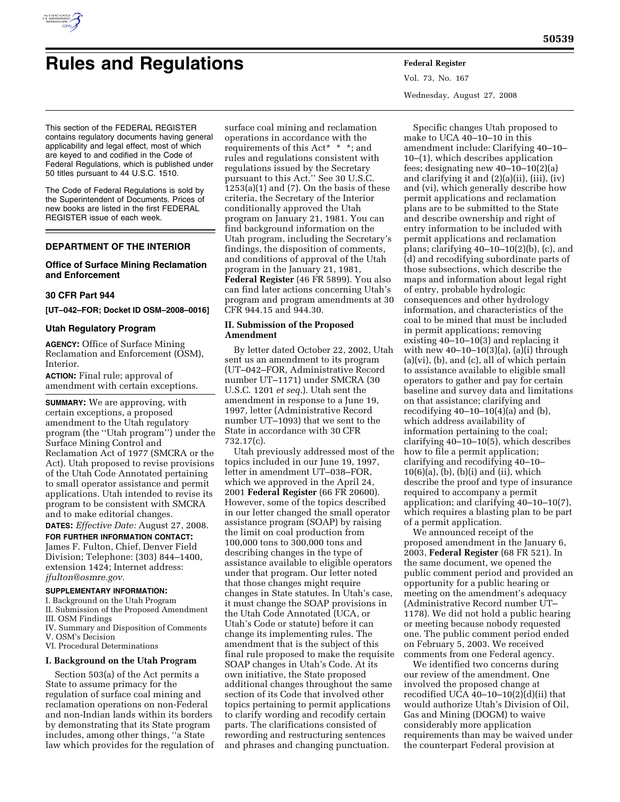

# **Rules and Regulations Federal Register**

Vol. 73, No. 167 Wednesday, August 27, 2008

This section of the FEDERAL REGISTER contains regulatory documents having general applicability and legal effect, most of which are keyed to and codified in the Code of Federal Regulations, which is published under 50 titles pursuant to 44 U.S.C. 1510.

The Code of Federal Regulations is sold by the Superintendent of Documents. Prices of new books are listed in the first FEDERAL REGISTER issue of each week.

# **DEPARTMENT OF THE INTERIOR**

# **Office of Surface Mining Reclamation and Enforcement**

## **30 CFR Part 944**

## **[UT–042–FOR; Docket ID OSM–2008–0016]**

## **Utah Regulatory Program**

**AGENCY:** Office of Surface Mining Reclamation and Enforcement (OSM), Interior.

**ACTION:** Final rule; approval of amendment with certain exceptions.

**SUMMARY:** We are approving, with certain exceptions, a proposed amendment to the Utah regulatory program (the ''Utah program'') under the Surface Mining Control and Reclamation Act of 1977 (SMCRA or the Act). Utah proposed to revise provisions of the Utah Code Annotated pertaining to small operator assistance and permit applications. Utah intended to revise its program to be consistent with SMCRA and to make editorial changes.

**DATES:** *Effective Date:* August 27, 2008.

**FOR FURTHER INFORMATION CONTACT:**  James F. Fulton, Chief, Denver Field Division; Telephone: (303) 844–1400, extension 1424; Internet address: *jfulton@osmre.gov.* 

# **SUPPLEMENTARY INFORMATION:**

- I. Background on the Utah Program
- II. Submission of the Proposed Amendment
- III. OSM Findings
- IV. Summary and Disposition of Comments V. OSM's Decision
- VI. Procedural Determinations

# **I. Background on the Utah Program**

Section 503(a) of the Act permits a State to assume primacy for the regulation of surface coal mining and reclamation operations on non-Federal and non-Indian lands within its borders by demonstrating that its State program includes, among other things, ''a State law which provides for the regulation of

surface coal mining and reclamation operations in accordance with the requirements of this Act\* \* \*; and rules and regulations consistent with regulations issued by the Secretary pursuant to this Act.'' See 30 U.S.C.  $1253(a)(1)$  and  $(7)$ . On the basis of these criteria, the Secretary of the Interior conditionally approved the Utah program on January 21, 1981. You can find background information on the Utah program, including the Secretary's findings, the disposition of comments, and conditions of approval of the Utah program in the January 21, 1981, **Federal Register** (46 FR 5899). You also can find later actions concerning Utah's program and program amendments at 30 CFR 944.15 and 944.30.

## **II. Submission of the Proposed Amendment**

By letter dated October 22, 2002, Utah sent us an amendment to its program (UT–042–FOR, Administrative Record number UT–1171) under SMCRA (30 U.S.C. 1201 *et seq.*). Utah sent the amendment in response to a June 19, 1997, letter (Administrative Record number UT–1093) that we sent to the State in accordance with 30 CFR 732.17(c).

Utah previously addressed most of the topics included in our June 19, 1997, letter in amendment UT–038–FOR, which we approved in the April 24, 2001 **Federal Register** (66 FR 20600). However, some of the topics described in our letter changed the small operator assistance program (SOAP) by raising the limit on coal production from 100,000 tons to 300,000 tons and describing changes in the type of assistance available to eligible operators under that program. Our letter noted that those changes might require changes in State statutes. In Utah's case, it must change the SOAP provisions in the Utah Code Annotated (UCA, or Utah's Code or statute) before it can change its implementing rules. The amendment that is the subject of this final rule proposed to make the requisite SOAP changes in Utah's Code. At its own initiative, the State proposed additional changes throughout the same section of its Code that involved other topics pertaining to permit applications to clarify wording and recodify certain parts. The clarifications consisted of rewording and restructuring sentences and phrases and changing punctuation.

Specific changes Utah proposed to make to UCA 40–10–10 in this amendment include: Clarifying 40–10– 10–(1), which describes application fees; designating new 40–10–10(2)(a) and clarifying it and (2)(a)(ii), (iii), (iv) and (vi), which generally describe how permit applications and reclamation plans are to be submitted to the State and describe ownership and right of entry information to be included with permit applications and reclamation plans; clarifying 40–10–10(2)(b), (c), and (d) and recodifying subordinate parts of those subsections, which describe the maps and information about legal right of entry, probable hydrologic consequences and other hydrology information, and characteristics of the coal to be mined that must be included in permit applications; removing existing 40–10–10(3) and replacing it with new  $40-10-10(3)(a)$ ,  $(a)(i)$  through (a)(vi), (b), and (c), all of which pertain to assistance available to eligible small operators to gather and pay for certain baseline and survey data and limitations on that assistance; clarifying and recodifying  $40-10-10(4)(a)$  and  $(b)$ , which address availability of information pertaining to the coal; clarifying 40–10–10(5), which describes how to file a permit application; clarifying and recodifying 40–10– 10(6)(a), (b), (b)(i) and (ii), which describe the proof and type of insurance required to accompany a permit application; and clarifying 40–10–10(7), which requires a blasting plan to be part of a permit application.

We announced receipt of the proposed amendment in the January 6, 2003, **Federal Register** (68 FR 521). In the same document, we opened the public comment period and provided an opportunity for a public hearing or meeting on the amendment's adequacy (Administrative Record number UT– 1178). We did not hold a public hearing or meeting because nobody requested one. The public comment period ended on February 5, 2003. We received comments from one Federal agency.

We identified two concerns during our review of the amendment. One involved the proposed change at recodified UCA  $40-10-10(2)(d)(ii)$  that would authorize Utah's Division of Oil, Gas and Mining (DOGM) to waive considerably more application requirements than may be waived under the counterpart Federal provision at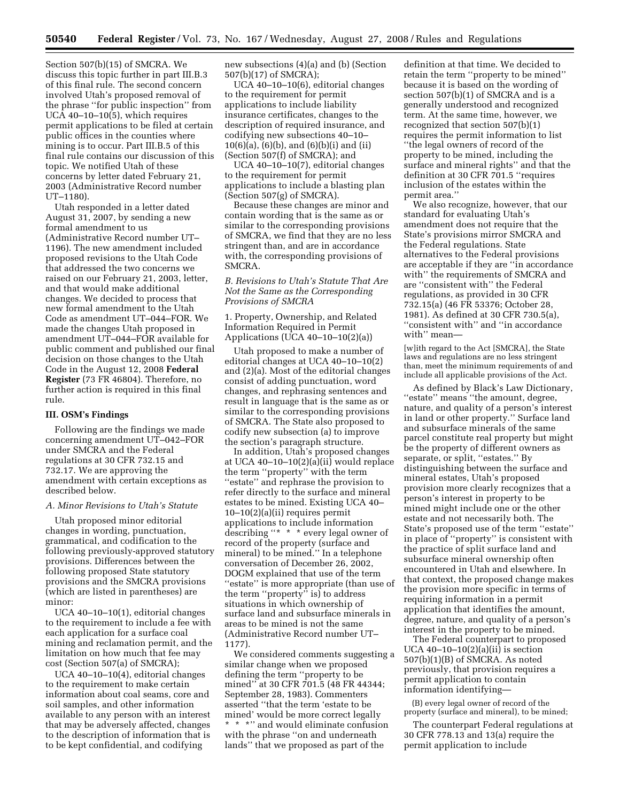Section 507(b)(15) of SMCRA. We discuss this topic further in part III.B.3 of this final rule. The second concern involved Utah's proposed removal of the phrase ''for public inspection'' from UCA  $40-10-10(5)$ , which requires permit applications to be filed at certain public offices in the counties where mining is to occur. Part III.B.5 of this final rule contains our discussion of this topic. We notified Utah of these concerns by letter dated February 21, 2003 (Administrative Record number UT–1180).

Utah responded in a letter dated August 31, 2007, by sending a new formal amendment to us (Administrative Record number UT– 1196). The new amendment included proposed revisions to the Utah Code that addressed the two concerns we raised on our February 21, 2003, letter, and that would make additional changes. We decided to process that new formal amendment to the Utah Code as amendment UT–044–FOR. We made the changes Utah proposed in amendment UT–044–FOR available for public comment and published our final decision on those changes to the Utah Code in the August 12, 2008 **Federal Register** (73 FR 46804). Therefore, no further action is required in this final rule.

## **III. OSM's Findings**

Following are the findings we made concerning amendment UT–042–FOR under SMCRA and the Federal regulations at 30 CFR 732.15 and 732.17. We are approving the amendment with certain exceptions as described below.

# *A. Minor Revisions to Utah's Statute*

Utah proposed minor editorial changes in wording, punctuation, grammatical, and codification to the following previously-approved statutory provisions. Differences between the following proposed State statutory provisions and the SMCRA provisions (which are listed in parentheses) are minor:

UCA 40–10–10(1), editorial changes to the requirement to include a fee with each application for a surface coal mining and reclamation permit, and the limitation on how much that fee may cost (Section 507(a) of SMCRA);

UCA 40–10–10(4), editorial changes to the requirement to make certain information about coal seams, core and soil samples, and other information available to any person with an interest that may be adversely affected, changes to the description of information that is to be kept confidential, and codifying

new subsections (4)(a) and (b) (Section 507(b)(17) of SMCRA);

UCA 40–10–10(6), editorial changes to the requirement for permit applications to include liability insurance certificates, changes to the description of required insurance, and codifying new subsections 40–10– 10(6)(a), (6)(b), and (6)(b)(i) and (ii) (Section 507(f) of SMCRA); and

UCA 40–10–10(7), editorial changes to the requirement for permit applications to include a blasting plan (Section 507(g) of SMCRA).

Because these changes are minor and contain wording that is the same as or similar to the corresponding provisions of SMCRA, we find that they are no less stringent than, and are in accordance with, the corresponding provisions of SMCRA.

## *B. Revisions to Utah's Statute That Are Not the Same as the Corresponding Provisions of SMCRA*

1. Property, Ownership, and Related Information Required in Permit Applications (UCA  $40-10-10(2)(a)$ )

Utah proposed to make a number of editorial changes at UCA 40–10–10(2) and (2)(a). Most of the editorial changes consist of adding punctuation, word changes, and rephrasing sentences and result in language that is the same as or similar to the corresponding provisions of SMCRA. The State also proposed to codify new subsection (a) to improve the section's paragraph structure.

In addition, Utah's proposed changes at UCA 40–10–10(2)(a)(ii) would replace the term ''property'' with the term ''estate'' and rephrase the provision to refer directly to the surface and mineral estates to be mined. Existing UCA 40– 10–10(2)(a)(ii) requires permit applications to include information describing ''\* \* \* every legal owner of record of the property (surface and mineral) to be mined.'' In a telephone conversation of December 26, 2002, DOGM explained that use of the term "estate" is more appropriate (than use of the term ''property'' is) to address situations in which ownership of surface land and subsurface minerals in areas to be mined is not the same (Administrative Record number UT– 1177).

We considered comments suggesting a similar change when we proposed defining the term ''property to be mined'' at 30 CFR 701.5 (48 FR 44344; September 28, 1983). Commenters asserted ''that the term 'estate to be mined' would be more correct legally  $^{\star}$   $\hspace{0.1mm}^{\star}$   $\hspace{0.1mm}^{\star}$   $\hspace{0.1mm}^{\star}$   $\hspace{0.1mm}^{\star}$  and would eliminate confusion with the phrase ''on and underneath lands'' that we proposed as part of the

definition at that time. We decided to retain the term ''property to be mined'' because it is based on the wording of section 507(b)(1) of SMCRA and is a generally understood and recognized term. At the same time, however, we recognized that section 507(b)(1) requires the permit information to list ''the legal owners of record of the property to be mined, including the surface and mineral rights'' and that the definition at 30 CFR 701.5 ''requires inclusion of the estates within the permit area.''

We also recognize, however, that our standard for evaluating Utah's amendment does not require that the State's provisions mirror SMCRA and the Federal regulations. State alternatives to the Federal provisions are acceptable if they are ''in accordance with'' the requirements of SMCRA and are ''consistent with'' the Federal regulations, as provided in 30 CFR 732.15(a) (46 FR 53376; October 28, 1981). As defined at 30 CFR 730.5(a), ''consistent with'' and ''in accordance with'' mean—

[w]ith regard to the Act [SMCRA], the State laws and regulations are no less stringent than, meet the minimum requirements of and include all applicable provisions of the Act.

As defined by Black's Law Dictionary, ''estate'' means ''the amount, degree, nature, and quality of a person's interest in land or other property.'' Surface land and subsurface minerals of the same parcel constitute real property but might be the property of different owners as separate, or split, "estates." By distinguishing between the surface and mineral estates, Utah's proposed provision more clearly recognizes that a person's interest in property to be mined might include one or the other estate and not necessarily both. The State's proposed use of the term ''estate'' in place of ''property'' is consistent with the practice of split surface land and subsurface mineral ownership often encountered in Utah and elsewhere. In that context, the proposed change makes the provision more specific in terms of requiring information in a permit application that identifies the amount, degree, nature, and quality of a person's interest in the property to be mined.

The Federal counterpart to proposed UCA  $40-10-10(2)(a)(ii)$  is section 507(b)(1)(B) of SMCRA. As noted previously, that provision requires a permit application to contain information identifying—

(B) every legal owner of record of the property (surface and mineral), to be mined;

The counterpart Federal regulations at 30 CFR 778.13 and 13(a) require the permit application to include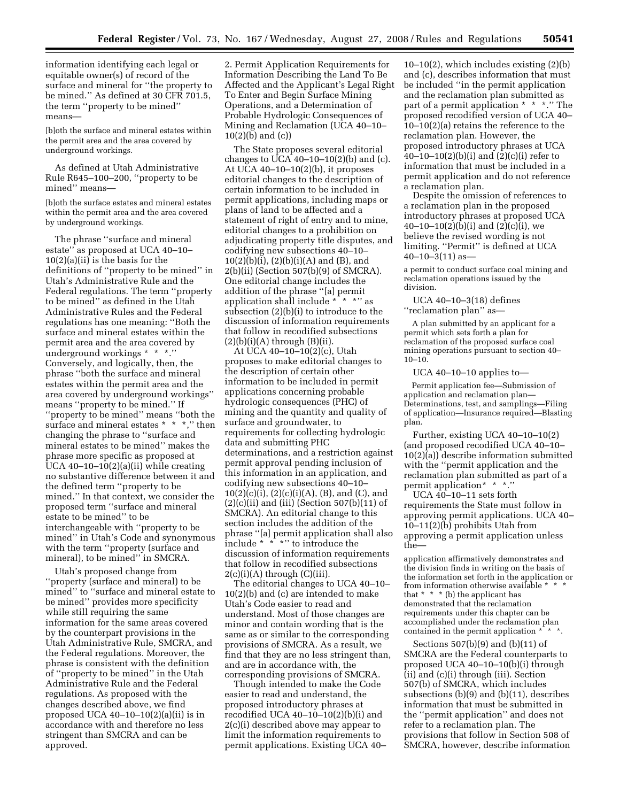information identifying each legal or equitable owner(s) of record of the surface and mineral for ''the property to be mined.'' As defined at 30 CFR 701.5, the term ''property to be mined'' means—

[b]oth the surface and mineral estates within the permit area and the area covered by underground workings.

As defined at Utah Administrative Rule R645–100–200, ''property to be mined'' means—

[b]oth the surface estates and mineral estates within the permit area and the area covered by underground workings.

The phrase ''surface and mineral estate'' as proposed at UCA 40–10– 10(2)(a)(ii) is the basis for the definitions of ''property to be mined'' in Utah's Administrative Rule and the Federal regulations. The term ''property to be mined'' as defined in the Utah Administrative Rules and the Federal regulations has one meaning: ''Both the surface and mineral estates within the permit area and the area covered by underground workings \* \* \*.'' Conversely, and logically, then, the phrase ''both the surface and mineral estates within the permit area and the area covered by underground workings'' means ''property to be mined.'' If ''property to be mined'' means ''both the surface and mineral estates \* \* \*," then changing the phrase to ''surface and mineral estates to be mined'' makes the phrase more specific as proposed at UCA 40–10–10(2)(a)(ii) while creating no substantive difference between it and the defined term ''property to be mined.'' In that context, we consider the proposed term ''surface and mineral estate to be mined'' to be interchangeable with ''property to be mined'' in Utah's Code and synonymous with the term ''property (surface and mineral), to be mined'' in SMCRA.

Utah's proposed change from ''property (surface and mineral) to be mined'' to ''surface and mineral estate to be mined'' provides more specificity while still requiring the same information for the same areas covered by the counterpart provisions in the Utah Administrative Rule, SMCRA, and the Federal regulations. Moreover, the phrase is consistent with the definition of ''property to be mined'' in the Utah Administrative Rule and the Federal regulations. As proposed with the changes described above, we find proposed UCA  $40-10-10(2)(a)(ii)$  is in accordance with and therefore no less stringent than SMCRA and can be approved.

2. Permit Application Requirements for Information Describing the Land To Be Affected and the Applicant's Legal Right To Enter and Begin Surface Mining Operations, and a Determination of Probable Hydrologic Consequences of Mining and Reclamation (UCA 40–10– 10(2)(b) and (c))

The State proposes several editorial changes to UCA  $40-10-10(2)$ (b) and (c). At UCA 40–10–10(2)(b), it proposes editorial changes to the description of certain information to be included in permit applications, including maps or plans of land to be affected and a statement of right of entry and to mine, editorial changes to a prohibition on adjudicating property title disputes, and codifying new subsections 40–10– 10(2)(b)(i), (2)(b)(i)(A) and (B), and 2(b)(ii) (Section 507(b)(9) of SMCRA). One editorial change includes the addition of the phrase ''[a] permit application shall include \* \* \*'' as subsection (2)(b)(i) to introduce to the discussion of information requirements that follow in recodified subsections  $(2)(b)(i)(A)$  through  $(B)(ii)$ .

At UCA 40–10–10(2)(c), Utah proposes to make editorial changes to the description of certain other information to be included in permit applications concerning probable hydrologic consequences (PHC) of mining and the quantity and quality of surface and groundwater, to requirements for collecting hydrologic data and submitting PHC determinations, and a restriction against permit approval pending inclusion of this information in an application, and codifying new subsections 40–10– 10(2)(c)(i), (2)(c)(i)(A), (B), and (C), and  $(2)(c)(ii)$  and (iii) (Section 507(b)(11) of SMCRA). An editorial change to this section includes the addition of the phrase ''[a] permit application shall also include \* \* \*'' to introduce the discussion of information requirements that follow in recodified subsections  $2(c)(i)(A)$  through  $(C)(iii)$ .

The editorial changes to UCA 40–10– 10(2)(b) and (c) are intended to make Utah's Code easier to read and understand. Most of those changes are minor and contain wording that is the same as or similar to the corresponding provisions of SMCRA. As a result, we find that they are no less stringent than, and are in accordance with, the corresponding provisions of SMCRA.

Though intended to make the Code easier to read and understand, the proposed introductory phrases at recodified UCA  $40-10-10(2)(b)(i)$  and 2(c)(i) described above may appear to limit the information requirements to permit applications. Existing UCA 40–

10–10(2), which includes existing (2)(b) and (c), describes information that must be included ''in the permit application and the reclamation plan submitted as part of a permit application \* \* \*.'' The proposed recodified version of UCA 40– 10–10(2)(a) retains the reference to the reclamation plan. However, the proposed introductory phrases at UCA 40–10–10(2)(b)(i) and (2)(c)(i) refer to information that must be included in a permit application and do not reference a reclamation plan.

Despite the omission of references to a reclamation plan in the proposed introductory phrases at proposed UCA 40–10–10(2)(b)(i) and (2)(c)(i), we believe the revised wording is not limiting. ''Permit'' is defined at UCA  $40 - 10 - 3(11)$  as —

a permit to conduct surface coal mining and reclamation operations issued by the division.

UCA 40–10–3(18) defines ''reclamation plan'' as—

A plan submitted by an applicant for a permit which sets forth a plan for reclamation of the proposed surface coal mining operations pursuant to section 40– 10–10.

#### UCA 40–10–10 applies to—

Permit application fee—Submission of application and reclamation plan— Determinations, test, and samplings—Filing of application—Insurance required—Blasting plan.

Further, existing UCA 40–10–10(2) (and proposed recodified UCA 40–10– 10(2)(a)) describe information submitted with the ''permit application and the reclamation plan submitted as part of a permit application\* \* \*.''

UCA 40–10–11 sets forth requirements the State must follow in approving permit applications. UCA 40– 10–11(2)(b) prohibits Utah from approving a permit application unless the—

application affirmatively demonstrates and the division finds in writing on the basis of the information set forth in the application or from information otherwise available \* \* \* that  $* * * (b)$  the applicant has demonstrated that the reclamation requirements under this chapter can be accomplished under the reclamation plan contained in the permit application

Sections 507(b)(9) and (b)(11) of SMCRA are the Federal counterparts to proposed UCA 40–10–10(b)(i) through (ii) and (c)(i) through (iii). Section 507(b) of SMCRA, which includes subsections (b)(9) and (b)(11), describes information that must be submitted in the ''permit application'' and does not refer to a reclamation plan. The provisions that follow in Section 508 of SMCRA, however, describe information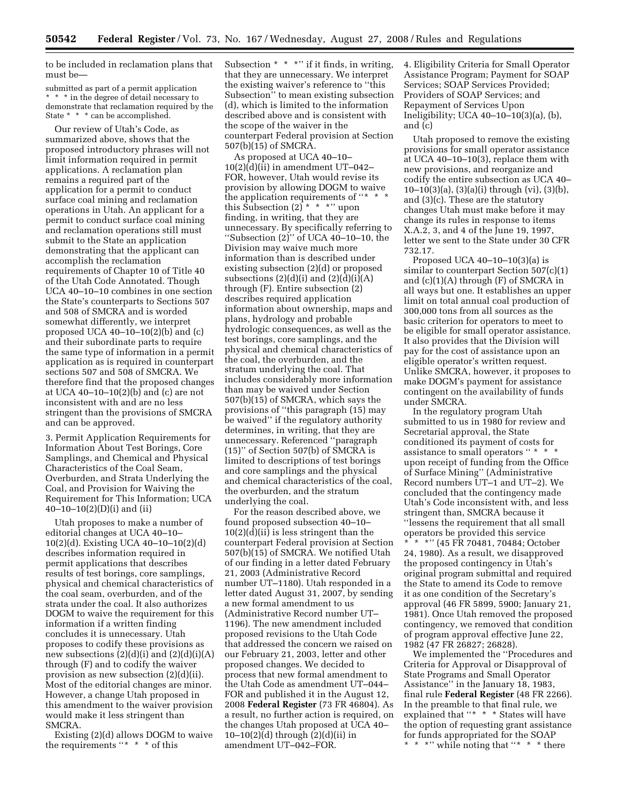to be included in reclamation plans that must be—

submitted as part of a permit application \* \* \* in the degree of detail necessary to demonstrate that reclamation required by the State \* \* \* can be accomplished.

Our review of Utah's Code, as summarized above, shows that the proposed introductory phrases will not limit information required in permit applications. A reclamation plan remains a required part of the application for a permit to conduct surface coal mining and reclamation operations in Utah. An applicant for a permit to conduct surface coal mining and reclamation operations still must submit to the State an application demonstrating that the applicant can accomplish the reclamation requirements of Chapter 10 of Title 40 of the Utah Code Annotated. Though UCA 40–10–10 combines in one section the State's counterparts to Sections 507 and 508 of SMCRA and is worded somewhat differently, we interpret proposed UCA  $40-10-10(2)$ (b) and (c) and their subordinate parts to require the same type of information in a permit application as is required in counterpart sections 507 and 508 of SMCRA. We therefore find that the proposed changes at UCA 40–10–10(2)(b) and (c) are not inconsistent with and are no less stringent than the provisions of SMCRA and can be approved.

3. Permit Application Requirements for Information About Test Borings, Core Samplings, and Chemical and Physical Characteristics of the Coal Seam, Overburden, and Strata Underlying the Coal, and Provision for Waiving the Requirement for This Information; UCA  $40-10-10(2)$ (D)(i) and (ii)

Utah proposes to make a number of editorial changes at UCA 40–10– 10(2)(d). Existing UCA 40–10–10(2)(d) describes information required in permit applications that describes results of test borings, core samplings, physical and chemical characteristics of the coal seam, overburden, and of the strata under the coal. It also authorizes DOGM to waive the requirement for this information if a written finding concludes it is unnecessary. Utah proposes to codify these provisions as new subsections  $(2)(d)(i)$  and  $(2)(d)(i)(A)$ through (F) and to codify the waiver provision as new subsection (2)(d)(ii). Most of the editorial changes are minor. However, a change Utah proposed in this amendment to the waiver provision would make it less stringent than SMCRA.

Existing (2)(d) allows DOGM to waive the requirements "\* \* \* of this

Subsection  $* * "$  if it finds, in writing, that they are unnecessary. We interpret the existing waiver's reference to ''this Subsection'' to mean existing subsection (d), which is limited to the information described above and is consistent with the scope of the waiver in the counterpart Federal provision at Section 507(b)(15) of SMCRA.

As proposed at UCA 40–10–  $10(2)(d)(ii)$  in amendment UT-042-FOR, however, Utah would revise its provision by allowing DOGM to waive the application requirements of "\* \* this Subsection  $(2)$ <sup>\*</sup> \* \*'' upon finding, in writing, that they are unnecessary. By specifically referring to ''Subsection (2)'' of UCA 40–10–10, the Division may waive much more information than is described under existing subsection (2)(d) or proposed subsections  $(2)(d)(i)$  and  $(2)(d)(i)(A)$ through (F). Entire subsection (2) describes required application information about ownership, maps and plans, hydrology and probable hydrologic consequences, as well as the test borings, core samplings, and the physical and chemical characteristics of the coal, the overburden, and the stratum underlying the coal. That includes considerably more information than may be waived under Section 507(b)(15) of SMCRA, which says the provisions of ''this paragraph (15) may be waived'' if the regulatory authority determines, in writing, that they are unnecessary. Referenced ''paragraph (15)'' of Section 507(b) of SMCRA is limited to descriptions of test borings and core samplings and the physical and chemical characteristics of the coal, the overburden, and the stratum underlying the coal.

For the reason described above, we found proposed subsection 40–10–  $10(2)(d)(ii)$  is less stringent than the counterpart Federal provision at Section 507(b)(15) of SMCRA. We notified Utah of our finding in a letter dated February 21, 2003 (Administrative Record number UT–1180). Utah responded in a letter dated August 31, 2007, by sending a new formal amendment to us (Administrative Record number UT– 1196). The new amendment included proposed revisions to the Utah Code that addressed the concern we raised on our February 21, 2003, letter and other proposed changes. We decided to process that new formal amendment to the Utah Code as amendment UT–044– FOR and published it in the August 12, 2008 **Federal Register** (73 FR 46804). As a result, no further action is required, on the changes Utah proposed at UCA 40–  $10-10(2)(d)$  through  $(2)(d)(ii)$  in amendment UT–042–FOR.

4. Eligibility Criteria for Small Operator Assistance Program; Payment for SOAP Services; SOAP Services Provided; Providers of SOAP Services; and Repayment of Services Upon Ineligibility; UCA 40–10–10(3)(a), (b), and (c)

Utah proposed to remove the existing provisions for small operator assistance at UCA 40–10–10(3), replace them with new provisions, and reorganize and codify the entire subsection as UCA 40– 10–10(3)(a), (3)(a)(i) through (vi), (3)(b), and (3)(c). These are the statutory changes Utah must make before it may change its rules in response to items X.A.2, 3, and 4 of the June 19, 1997, letter we sent to the State under 30 CFR 732.17.

Proposed UCA 40–10–10(3)(a) is similar to counterpart Section 507(c)(1) and (c)(1)(A) through (F) of SMCRA in all ways but one. It establishes an upper limit on total annual coal production of 300,000 tons from all sources as the basic criterion for operators to meet to be eligible for small operator assistance. It also provides that the Division will pay for the cost of assistance upon an eligible operator's written request. Unlike SMCRA, however, it proposes to make DOGM's payment for assistance contingent on the availability of funds under SMCRA.

In the regulatory program Utah submitted to us in 1980 for review and Secretarial approval, the State conditioned its payment of costs for assistance to small operators '' \* \* \* upon receipt of funding from the Office of Surface Mining'' (Administrative Record numbers UT–1 and UT–2). We concluded that the contingency made Utah's Code inconsistent with, and less stringent than, SMCRA because it ''lessens the requirement that all small operators be provided this service

\*\*\*'' (45 FR 70481, 70484; October 24, 1980). As a result, we disapproved the proposed contingency in Utah's original program submittal and required the State to amend its Code to remove it as one condition of the Secretary's approval (46 FR 5899, 5900; January 21, 1981). Once Utah removed the proposed contingency, we removed that condition of program approval effective June 22, 1982 (47 FR 26827; 26828).

We implemented the ''Procedures and Criteria for Approval or Disapproval of State Programs and Small Operator Assistance'' in the January 18, 1983, final rule **Federal Register** (48 FR 2266). In the preamble to that final rule, we explained that "\* \* \* States will have the option of requesting grant assistance for funds appropriated for the SOAP \*\*\*'' while noting that ''\* \* \* there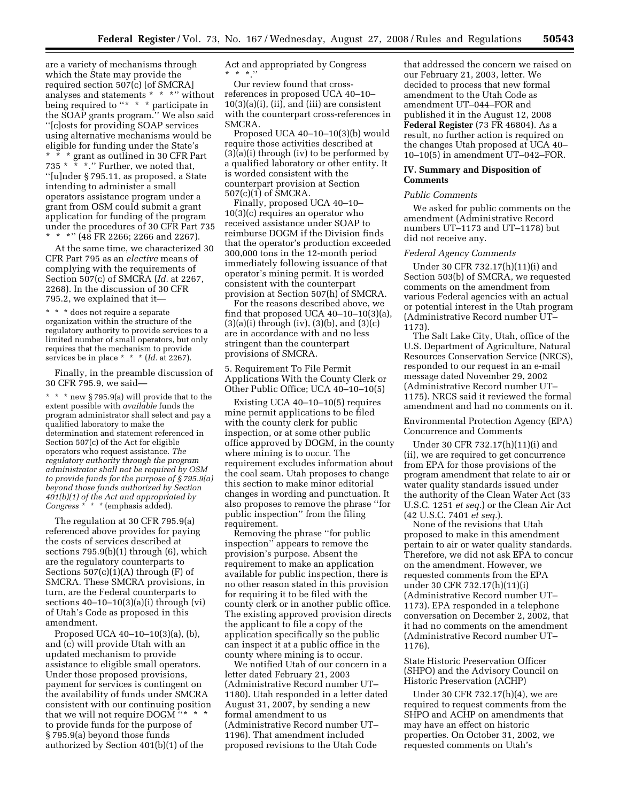are a variety of mechanisms through which the State may provide the required section 507(c) [of SMCRA] analyses and statements \* \* \*'' without being required to "\* \* \* participate in the SOAP grants program.'' We also said ''[c]osts for providing SOAP services using alternative mechanisms would be eligible for funding under the State's \* \* \* grant as outlined in 30 CFR Part 735  $*$   $*$   $*$ ." Further, we noted that, ''[u]nder § 795.11, as proposed, a State intending to administer a small operators assistance program under a grant from OSM could submit a grant application for funding of the program under the procedures of 30 CFR Part 735 \* \* \*" (48 FR 2266; 2266 and 2267).

At the same time, we characterized 30 CFR Part 795 as an *elective* means of complying with the requirements of Section 507(c) of SMCRA (*Id.* at 2267, 2268). In the discussion of 30 CFR 795.2, we explained that it—

\* \* \* does not require a separate organization within the structure of the regulatory authority to provide services to a limited number of small operators, but only requires that the mechanism to provide services be in place \* \* \* (*Id.* at 2267).

Finally, in the preamble discussion of 30 CFR 795.9, we said—

\* \* \* new § 795.9(a) will provide that to the extent possible with *available* funds the program administrator shall select and pay a qualified laboratory to make the determination and statement referenced in Section 507(c) of the Act for eligible operators who request assistance. *The regulatory authority through the program administrator shall not be required by OSM to provide funds for the purpose of § 795.9(a) beyond those funds authorized by Section 401(b)(1) of the Act and appropriated by Congress \* \* \** (emphasis added).

The regulation at 30 CFR 795.9(a) referenced above provides for paying the costs of services described at sections 795.9(b)(1) through (6), which are the regulatory counterparts to Sections  $507(c)(1)(A)$  through  $(F)$  of SMCRA. These SMCRA provisions, in turn, are the Federal counterparts to sections  $40-10-10(3)(a)(i)$  through (vi) of Utah's Code as proposed in this amendment.

Proposed UCA 40–10–10(3)(a), (b), and (c) will provide Utah with an updated mechanism to provide assistance to eligible small operators. Under those proposed provisions, payment for services is contingent on the availability of funds under SMCRA consistent with our continuing position that we will not require DOGM "\* to provide funds for the purpose of § 795.9(a) beyond those funds authorized by Section 401(b)(1) of the

Act and appropriated by Congress  $*$  \* \*.''

Our review found that crossreferences in proposed UCA 40–10–  $10(3)(a)(i)$ , (ii), and (iii) are consistent with the counterpart cross-references in SMCRA.

Proposed UCA 40–10–10(3)(b) would require those activities described at (3)(a)(i) through (iv) to be performed by a qualified laboratory or other entity. It is worded consistent with the counterpart provision at Section 507(c)(1) of SMCRA.

Finally, proposed UCA 40–10– 10(3)(c) requires an operator who received assistance under SOAP to reimburse DOGM if the Division finds that the operator's production exceeded 300,000 tons in the 12-month period immediately following issuance of that operator's mining permit. It is worded consistent with the counterpart provision at Section 507(h) of SMCRA.

For the reasons described above, we find that proposed UCA 40–10–10(3)(a),  $(3)(a)(i)$  through (iv),  $(3)(b)$ , and  $(3)(c)$ are in accordance with and no less stringent than the counterpart provisions of SMCRA.

5. Requirement To File Permit Applications With the County Clerk or Other Public Office; UCA 40–10–10(5)

Existing UCA 40–10–10(5) requires mine permit applications to be filed with the county clerk for public inspection, or at some other public office approved by DOGM, in the county where mining is to occur. The requirement excludes information about the coal seam. Utah proposes to change this section to make minor editorial changes in wording and punctuation. It also proposes to remove the phrase ''for public inspection'' from the filing requirement.

Removing the phrase ''for public inspection'' appears to remove the provision's purpose. Absent the requirement to make an application available for public inspection, there is no other reason stated in this provision for requiring it to be filed with the county clerk or in another public office. The existing approved provision directs the applicant to file a copy of the application specifically so the public can inspect it at a public office in the county where mining is to occur.

We notified Utah of our concern in a letter dated February 21, 2003 (Administrative Record number UT– 1180). Utah responded in a letter dated August 31, 2007, by sending a new formal amendment to us (Administrative Record number UT– 1196). That amendment included proposed revisions to the Utah Code

that addressed the concern we raised on our February 21, 2003, letter. We decided to process that new formal amendment to the Utah Code as amendment UT–044–FOR and published it in the August 12, 2008 **Federal Register** (73 FR 46804). As a result, no further action is required on the changes Utah proposed at UCA 40– 10–10(5) in amendment UT–042–FOR.

#### **IV. Summary and Disposition of Comments**

#### *Public Comments*

We asked for public comments on the amendment (Administrative Record numbers UT–1173 and UT–1178) but did not receive any.

#### *Federal Agency Comments*

Under 30 CFR 732.17(h)(11)(i) and Section 503(b) of SMCRA, we requested comments on the amendment from various Federal agencies with an actual or potential interest in the Utah program (Administrative Record number UT– 1173).

The Salt Lake City, Utah, office of the U.S. Department of Agriculture, Natural Resources Conservation Service (NRCS), responded to our request in an e-mail message dated November 29, 2002 (Administrative Record number UT– 1175). NRCS said it reviewed the formal amendment and had no comments on it.

Environmental Protection Agency (EPA) Concurrence and Comments

Under 30 CFR 732.17(h)(11)(i) and (ii), we are required to get concurrence from EPA for those provisions of the program amendment that relate to air or water quality standards issued under the authority of the Clean Water Act (33 U.S.C. 1251 *et seq.*) or the Clean Air Act (42 U.S.C. 7401 *et seq.*).

None of the revisions that Utah proposed to make in this amendment pertain to air or water quality standards. Therefore, we did not ask EPA to concur on the amendment. However, we requested comments from the EPA under 30 CFR 732.17(h)(11)(i) (Administrative Record number UT– 1173). EPA responded in a telephone conversation on December 2, 2002, that it had no comments on the amendment (Administrative Record number UT– 1176).

State Historic Preservation Officer (SHPO) and the Advisory Council on Historic Preservation (ACHP)

Under 30 CFR 732.17(h)(4), we are required to request comments from the SHPO and ACHP on amendments that may have an effect on historic properties. On October 31, 2002, we requested comments on Utah's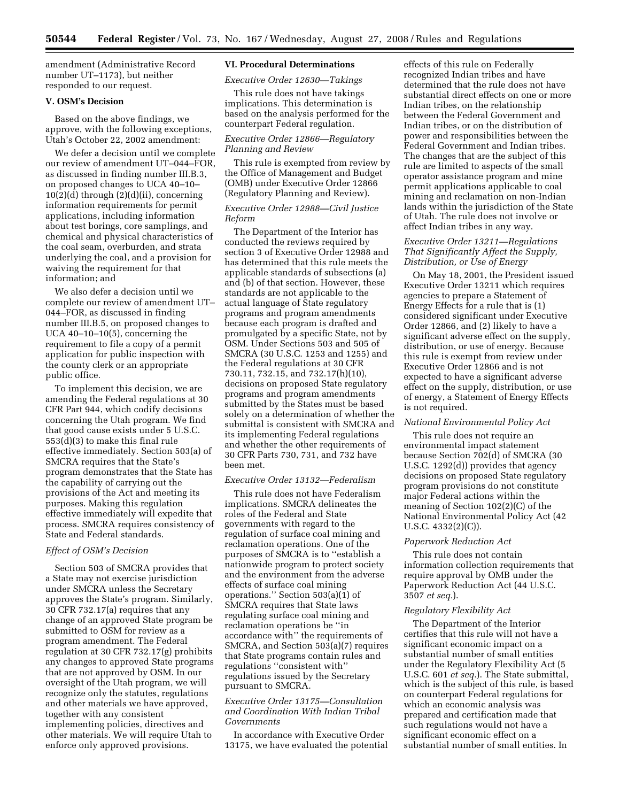amendment (Administrative Record number UT–1173), but neither responded to our request.

### **V. OSM's Decision**

Based on the above findings, we approve, with the following exceptions, Utah's October 22, 2002 amendment:

We defer a decision until we complete our review of amendment UT–044–FOR, as discussed in finding number III.B.3, on proposed changes to UCA 40–10–  $10(2)(d)$  through  $(2)(d)(ii)$ , concerning information requirements for permit applications, including information about test borings, core samplings, and chemical and physical characteristics of the coal seam, overburden, and strata underlying the coal, and a provision for waiving the requirement for that information; and

We also defer a decision until we complete our review of amendment UT– 044–FOR, as discussed in finding number III.B.5, on proposed changes to UCA 40–10–10(5), concerning the requirement to file a copy of a permit application for public inspection with the county clerk or an appropriate public office.

To implement this decision, we are amending the Federal regulations at 30 CFR Part 944, which codify decisions concerning the Utah program. We find that good cause exists under 5 U.S.C. 553(d)(3) to make this final rule effective immediately. Section 503(a) of SMCRA requires that the State's program demonstrates that the State has the capability of carrying out the provisions of the Act and meeting its purposes. Making this regulation effective immediately will expedite that process. SMCRA requires consistency of State and Federal standards.

# *Effect of OSM's Decision*

Section 503 of SMCRA provides that a State may not exercise jurisdiction under SMCRA unless the Secretary approves the State's program. Similarly, 30 CFR 732.17(a) requires that any change of an approved State program be submitted to OSM for review as a program amendment. The Federal regulation at 30 CFR 732.17(g) prohibits any changes to approved State programs that are not approved by OSM. In our oversight of the Utah program, we will recognize only the statutes, regulations and other materials we have approved, together with any consistent implementing policies, directives and other materials. We will require Utah to enforce only approved provisions.

# **VI. Procedural Determinations**

*Executive Order 12630—Takings* 

This rule does not have takings implications. This determination is based on the analysis performed for the counterpart Federal regulation.

## *Executive Order 12866—Regulatory Planning and Review*

This rule is exempted from review by the Office of Management and Budget (OMB) under Executive Order 12866 (Regulatory Planning and Review).

# *Executive Order 12988—Civil Justice Reform*

The Department of the Interior has conducted the reviews required by section 3 of Executive Order 12988 and has determined that this rule meets the applicable standards of subsections (a) and (b) of that section. However, these standards are not applicable to the actual language of State regulatory programs and program amendments because each program is drafted and promulgated by a specific State, not by OSM. Under Sections 503 and 505 of SMCRA (30 U.S.C. 1253 and 1255) and the Federal regulations at 30 CFR 730.11, 732.15, and 732.17(h)(10), decisions on proposed State regulatory programs and program amendments submitted by the States must be based solely on a determination of whether the submittal is consistent with SMCRA and its implementing Federal regulations and whether the other requirements of 30 CFR Parts 730, 731, and 732 have been met.

# *Executive Order 13132—Federalism*

This rule does not have Federalism implications. SMCRA delineates the roles of the Federal and State governments with regard to the regulation of surface coal mining and reclamation operations. One of the purposes of SMCRA is to ''establish a nationwide program to protect society and the environment from the adverse effects of surface coal mining operations.'' Section 503(a)(1) of SMCRA requires that State laws regulating surface coal mining and reclamation operations be ''in accordance with'' the requirements of SMCRA, and Section 503(a)(7) requires that State programs contain rules and regulations ''consistent with'' regulations issued by the Secretary pursuant to SMCRA.

# *Executive Order 13175—Consultation and Coordination With Indian Tribal Governments*

In accordance with Executive Order 13175, we have evaluated the potential

effects of this rule on Federally recognized Indian tribes and have determined that the rule does not have substantial direct effects on one or more Indian tribes, on the relationship between the Federal Government and Indian tribes, or on the distribution of power and responsibilities between the Federal Government and Indian tribes. The changes that are the subject of this rule are limited to aspects of the small operator assistance program and mine permit applications applicable to coal mining and reclamation on non-Indian lands within the jurisdiction of the State of Utah. The rule does not involve or affect Indian tribes in any way.

## *Executive Order 13211—Regulations That Significantly Affect the Supply, Distribution, or Use of Energy*

On May 18, 2001, the President issued Executive Order 13211 which requires agencies to prepare a Statement of Energy Effects for a rule that is (1) considered significant under Executive Order 12866, and (2) likely to have a significant adverse effect on the supply, distribution, or use of energy. Because this rule is exempt from review under Executive Order 12866 and is not expected to have a significant adverse effect on the supply, distribution, or use of energy, a Statement of Energy Effects is not required.

# *National Environmental Policy Act*

This rule does not require an environmental impact statement because Section 702(d) of SMCRA (30 U.S.C. 1292(d)) provides that agency decisions on proposed State regulatory program provisions do not constitute major Federal actions within the meaning of Section 102(2)(C) of the National Environmental Policy Act (42 U.S.C. 4332(2)(C)).

#### *Paperwork Reduction Act*

This rule does not contain information collection requirements that require approval by OMB under the Paperwork Reduction Act (44 U.S.C. 3507 *et seq.*).

#### *Regulatory Flexibility Act*

The Department of the Interior certifies that this rule will not have a significant economic impact on a substantial number of small entities under the Regulatory Flexibility Act (5 U.S.C. 601 *et seq.*). The State submittal, which is the subject of this rule, is based on counterpart Federal regulations for which an economic analysis was prepared and certification made that such regulations would not have a significant economic effect on a substantial number of small entities. In